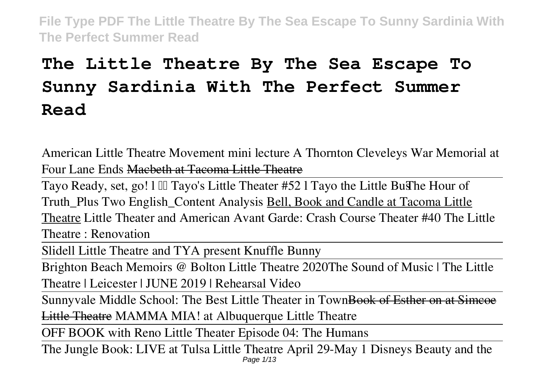# **The Little Theatre By The Sea Escape To Sunny Sardinia With The Perfect Summer Read**

**American Little Theatre Movement mini lecture A Thornton Cleveleys War Memorial at Four Lane Ends** Macbeth at Tacoma Little Theatre

Tayo Ready, set, go! 1 Ill Tayo's Little Theater #52 l Tayo the Little Bus The Hour of **Truth\_Plus Two English\_Content Analysis** Bell, Book and Candle at Tacoma Little Theatre *Little Theater and American Avant Garde: Crash Course Theater #40 The Little Theatre : Renovation*

Slidell Little Theatre and TYA present Knuffle Bunny

Brighton Beach Memoirs @ Bolton Little Theatre 2020*The Sound of Music | The Little Theatre | Leicester | JUNE 2019 | Rehearsal Video*

Sunnyvale Middle School: The Best Little Theater in TownBook of Esther on at Simcoe Little Theatre *MAMMA MIA! at Albuquerque Little Theatre*

OFF BOOK with Reno Little Theater Episode 04: The Humans

The Jungle Book: LIVE at Tulsa Little Theatre April 29-May 1 Disneys Beauty and the Page 1/13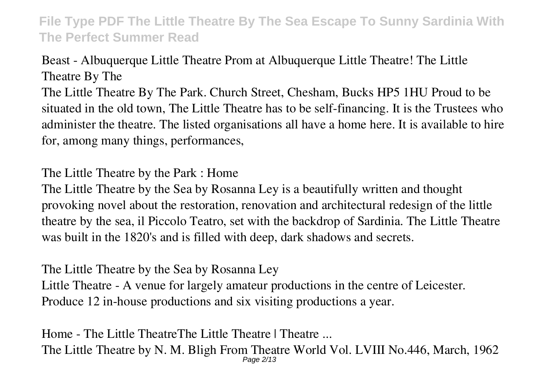## Beast - Albuquerque Little Theatre **Prom at Albuquerque Little Theatre! The Little Theatre By The**

The Little Theatre By The Park. Church Street, Chesham, Bucks HP5 1HU Proud to be situated in the old town, The Little Theatre has to be self-financing. It is the Trustees who administer the theatre. The listed organisations all have a home here. It is available to hire for, among many things, performances,

**The Little Theatre by the Park : Home**

The Little Theatre by the Sea by Rosanna Ley is a beautifully written and thought provoking novel about the restoration, renovation and architectural redesign of the little theatre by the sea, il Piccolo Teatro, set with the backdrop of Sardinia. The Little Theatre was built in the 1820's and is filled with deep, dark shadows and secrets.

**The Little Theatre by the Sea by Rosanna Ley**

Little Theatre - A venue for largely amateur productions in the centre of Leicester. Produce 12 in-house productions and six visiting productions a year.

**Home - The Little TheatreThe Little Theatre | Theatre ...** The Little Theatre by N. M. Bligh From Theatre World Vol. LVIII No.446, March, 1962 Page 2/13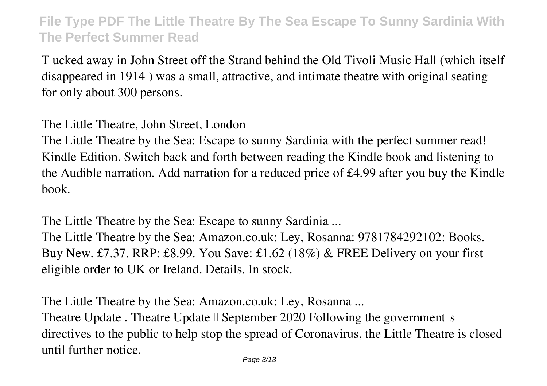T ucked away in John Street off the Strand behind the Old Tivoli Music Hall (which itself disappeared in 1914 ) was a small, attractive, and intimate theatre with original seating for only about 300 persons.

**The Little Theatre, John Street, London**

The Little Theatre by the Sea: Escape to sunny Sardinia with the perfect summer read! Kindle Edition. Switch back and forth between reading the Kindle book and listening to the Audible narration. Add narration for a reduced price of £4.99 after you buy the Kindle book.

**The Little Theatre by the Sea: Escape to sunny Sardinia ...** The Little Theatre by the Sea: Amazon.co.uk: Ley, Rosanna: 9781784292102: Books. Buy New. £7.37. RRP: £8.99. You Save: £1.62 (18%) & FREE Delivery on your first eligible order to UK or Ireland. Details. In stock.

**The Little Theatre by the Sea: Amazon.co.uk: Ley, Rosanna ...** Theatre Update . Theatre Update  $\Box$  September 2020 Following the government  $\Box$ directives to the public to help stop the spread of Coronavirus, the Little Theatre is closed until further notice.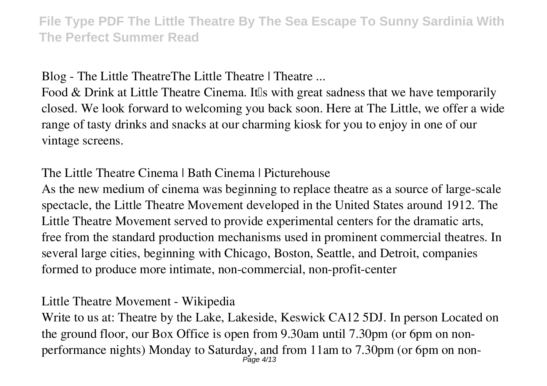**Blog - The Little TheatreThe Little Theatre | Theatre ...**

Food & Drink at Little Theatre Cinema. It is with great sadness that we have temporarily closed. We look forward to welcoming you back soon. Here at The Little, we offer a wide range of tasty drinks and snacks at our charming kiosk for you to enjoy in one of our vintage screens.

**The Little Theatre Cinema | Bath Cinema | Picturehouse**

As the new medium of cinema was beginning to replace theatre as a source of large-scale spectacle, the Little Theatre Movement developed in the United States around 1912. The Little Theatre Movement served to provide experimental centers for the dramatic arts, free from the standard production mechanisms used in prominent commercial theatres. In several large cities, beginning with Chicago, Boston, Seattle, and Detroit, companies formed to produce more intimate, non-commercial, non-profit-center

**Little Theatre Movement - Wikipedia**

Write to us at: Theatre by the Lake, Lakeside, Keswick CA12 5DJ. In person Located on the ground floor, our Box Office is open from 9.30am until 7.30pm (or 6pm on nonperformance nights) Monday to Saturday, and from 11am to 7.30pm (or 6pm on non-Page 4/13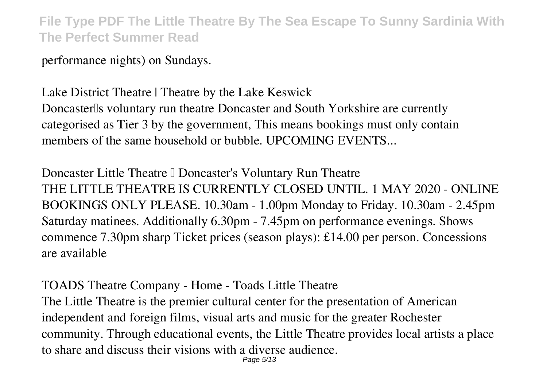performance nights) on Sundays.

**Lake District Theatre | Theatre by the Lake Keswick** Doncaster<sup>[]</sup>s voluntary run theatre Doncaster and South Yorkshire are currently categorised as Tier 3 by the government, This means bookings must only contain members of the same household or bubble. UPCOMING EVENTS...

**Doncaster Little Theatre II Doncaster's Voluntary Run Theatre** THE LITTLE THEATRE IS CURRENTLY CLOSED UNTIL. 1 MAY 2020 - ONLINE BOOKINGS ONLY PLEASE. 10.30am - 1.00pm Monday to Friday. 10.30am - 2.45pm Saturday matinees. Additionally 6.30pm - 7.45pm on performance evenings. Shows commence 7.30pm sharp Ticket prices (season plays): £14.00 per person. Concessions are available

**TOADS Theatre Company - Home - Toads Little Theatre** The Little Theatre is the premier cultural center for the presentation of American independent and foreign films, visual arts and music for the greater Rochester community. Through educational events, the Little Theatre provides local artists a place to share and discuss their visions with a diverse audience. Page 5/13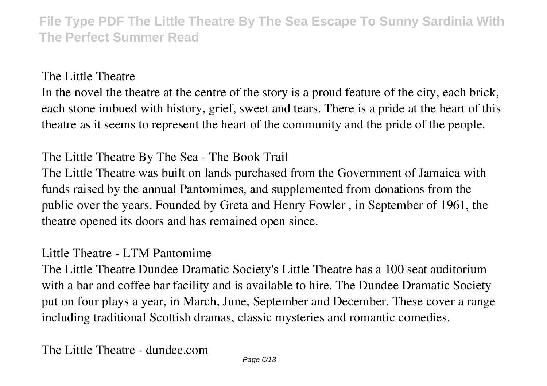**The Little Theatre**

In the novel the theatre at the centre of the story is a proud feature of the city, each brick, each stone imbued with history, grief, sweet and tears. There is a pride at the heart of this theatre as it seems to represent the heart of the community and the pride of the people.

**The Little Theatre By The Sea - The Book Trail**

The Little Theatre was built on lands purchased from the Government of Jamaica with funds raised by the annual Pantomimes, and supplemented from donations from the public over the years. Founded by Greta and Henry Fowler , in September of 1961, the theatre opened its doors and has remained open since.

#### **Little Theatre - LTM Pantomime**

The Little Theatre Dundee Dramatic Society's Little Theatre has a 100 seat auditorium with a bar and coffee bar facility and is available to hire. The Dundee Dramatic Society put on four plays a year, in March, June, September and December. These cover a range including traditional Scottish dramas, classic mysteries and romantic comedies.

**The Little Theatre - dundee.com**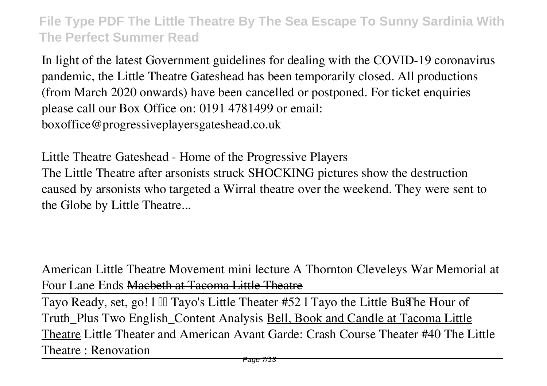In light of the latest Government guidelines for dealing with the COVID-19 coronavirus pandemic, the Little Theatre Gateshead has been temporarily closed. All productions (from March 2020 onwards) have been cancelled or postponed. For ticket enquiries please call our Box Office on: 0191 4781499 or email: boxoffice@progressiveplayersgateshead.co.uk

**Little Theatre Gateshead - Home of the Progressive Players** The Little Theatre after arsonists struck SHOCKING pictures show the destruction caused by arsonists who targeted a Wirral theatre over the weekend. They were sent to the Globe by Little Theatre...

**American Little Theatre Movement mini lecture A Thornton Cleveleys War Memorial at Four Lane Ends** Macbeth at Tacoma Little Theatre

Tayo Ready, set, go! l Tayo's Little Theater #52 l Tayo the Little Bus**The Hour of Truth\_Plus Two English\_Content Analysis** Bell, Book and Candle at Tacoma Little Theatre *Little Theater and American Avant Garde: Crash Course Theater #40 The Little Theatre : Renovation*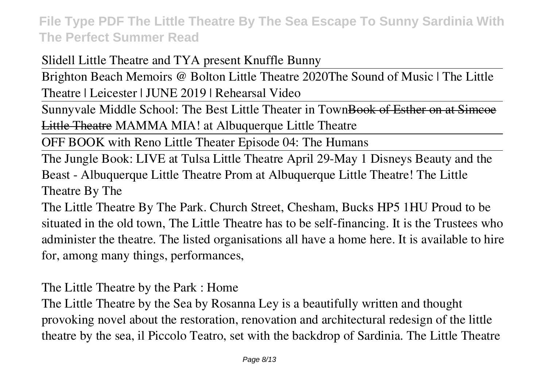Slidell Little Theatre and TYA present Knuffle Bunny

Brighton Beach Memoirs @ Bolton Little Theatre 2020*The Sound of Music | The Little Theatre | Leicester | JUNE 2019 | Rehearsal Video*

Sunnyvale Middle School: The Best Little Theater in TownBook of Esther on at Simcoe Little Theatre *MAMMA MIA! at Albuquerque Little Theatre*

OFF BOOK with Reno Little Theater Episode 04: The Humans

The Jungle Book: LIVE at Tulsa Little Theatre April 29-May 1 Disneys Beauty and the Beast - Albuquerque Little Theatre **Prom at Albuquerque Little Theatre! The Little Theatre By The**

The Little Theatre By The Park. Church Street, Chesham, Bucks HP5 1HU Proud to be situated in the old town, The Little Theatre has to be self-financing. It is the Trustees who administer the theatre. The listed organisations all have a home here. It is available to hire for, among many things, performances,

**The Little Theatre by the Park : Home**

The Little Theatre by the Sea by Rosanna Ley is a beautifully written and thought provoking novel about the restoration, renovation and architectural redesign of the little theatre by the sea, il Piccolo Teatro, set with the backdrop of Sardinia. The Little Theatre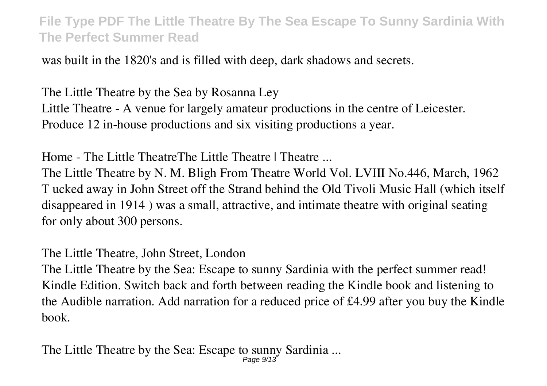was built in the 1820's and is filled with deep, dark shadows and secrets.

**The Little Theatre by the Sea by Rosanna Ley** Little Theatre - A venue for largely amateur productions in the centre of Leicester. Produce 12 in-house productions and six visiting productions a year.

**Home - The Little TheatreThe Little Theatre | Theatre ...**

The Little Theatre by N. M. Bligh From Theatre World Vol. LVIII No.446, March, 1962 T ucked away in John Street off the Strand behind the Old Tivoli Music Hall (which itself disappeared in 1914 ) was a small, attractive, and intimate theatre with original seating for only about 300 persons.

**The Little Theatre, John Street, London**

The Little Theatre by the Sea: Escape to sunny Sardinia with the perfect summer read! Kindle Edition. Switch back and forth between reading the Kindle book and listening to the Audible narration. Add narration for a reduced price of £4.99 after you buy the Kindle book.

**The Little Theatre by the Sea: Escape to sunny Sardinia ...** Page 9/13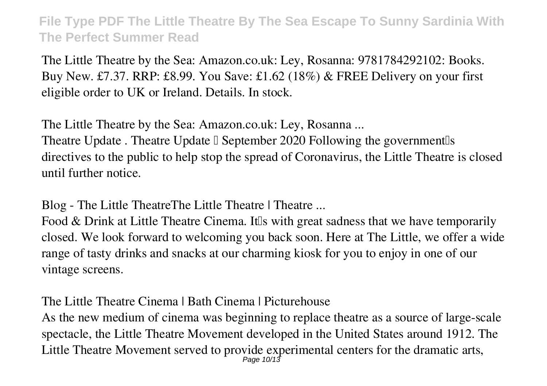The Little Theatre by the Sea: Amazon.co.uk: Ley, Rosanna: 9781784292102: Books. Buy New. £7.37. RRP: £8.99. You Save: £1.62 (18%) & FREE Delivery on your first eligible order to UK or Ireland. Details. In stock.

**The Little Theatre by the Sea: Amazon.co.uk: Ley, Rosanna ...** Theatre Update . Theatre Update  $\Box$  September 2020 Following the government  $\Box$ directives to the public to help stop the spread of Coronavirus, the Little Theatre is closed until further notice.

**Blog - The Little TheatreThe Little Theatre | Theatre ...**

Food & Drink at Little Theatre Cinema. It is with great sadness that we have temporarily closed. We look forward to welcoming you back soon. Here at The Little, we offer a wide range of tasty drinks and snacks at our charming kiosk for you to enjoy in one of our vintage screens.

**The Little Theatre Cinema | Bath Cinema | Picturehouse**

As the new medium of cinema was beginning to replace theatre as a source of large-scale spectacle, the Little Theatre Movement developed in the United States around 1912. The Little Theatre Movement served to provide experimental centers for the dramatic arts,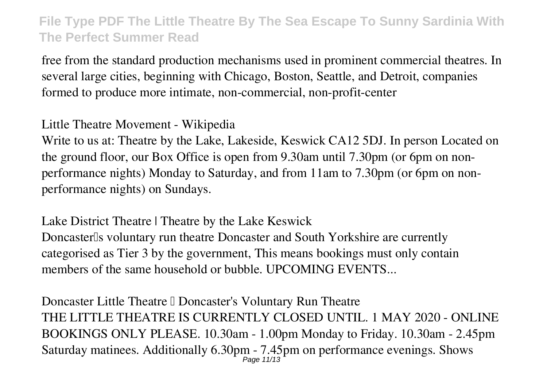free from the standard production mechanisms used in prominent commercial theatres. In several large cities, beginning with Chicago, Boston, Seattle, and Detroit, companies formed to produce more intimate, non-commercial, non-profit-center

**Little Theatre Movement - Wikipedia**

Write to us at: Theatre by the Lake, Lakeside, Keswick CA12 5DJ. In person Located on the ground floor, our Box Office is open from 9.30am until 7.30pm (or 6pm on nonperformance nights) Monday to Saturday, and from 11am to 7.30pm (or 6pm on nonperformance nights) on Sundays.

**Lake District Theatre | Theatre by the Lake Keswick** Doncaster<sup>Is</sup> voluntary run theatre Doncaster and South Yorkshire are currently categorised as Tier 3 by the government, This means bookings must only contain members of the same household or bubble. UPCOMING EVENTS...

**Doncaster Little Theatre II Doncaster's Voluntary Run Theatre** THE LITTLE THEATRE IS CURRENTLY CLOSED UNTIL. 1 MAY 2020 - ONLINE BOOKINGS ONLY PLEASE. 10.30am - 1.00pm Monday to Friday. 10.30am - 2.45pm Saturday matinees. Additionally 6.30pm - 7.45pm on performance evenings. Shows Page 11/13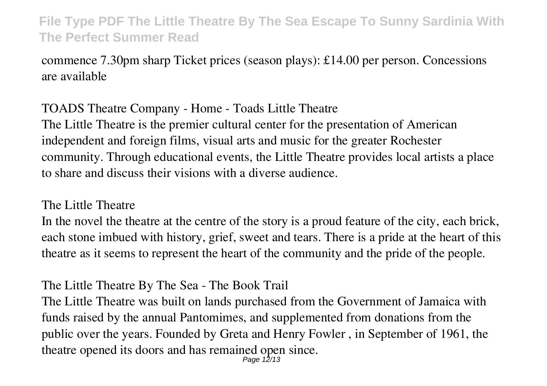commence 7.30pm sharp Ticket prices (season plays): £14.00 per person. Concessions are available

**TOADS Theatre Company - Home - Toads Little Theatre** The Little Theatre is the premier cultural center for the presentation of American independent and foreign films, visual arts and music for the greater Rochester community. Through educational events, the Little Theatre provides local artists a place to share and discuss their visions with a diverse audience.

#### **The Little Theatre**

In the novel the theatre at the centre of the story is a proud feature of the city, each brick, each stone imbued with history, grief, sweet and tears. There is a pride at the heart of this theatre as it seems to represent the heart of the community and the pride of the people.

#### **The Little Theatre By The Sea - The Book Trail**

The Little Theatre was built on lands purchased from the Government of Jamaica with funds raised by the annual Pantomimes, and supplemented from donations from the public over the years. Founded by Greta and Henry Fowler , in September of 1961, the theatre opened its doors and has remained open since. Page 12/13